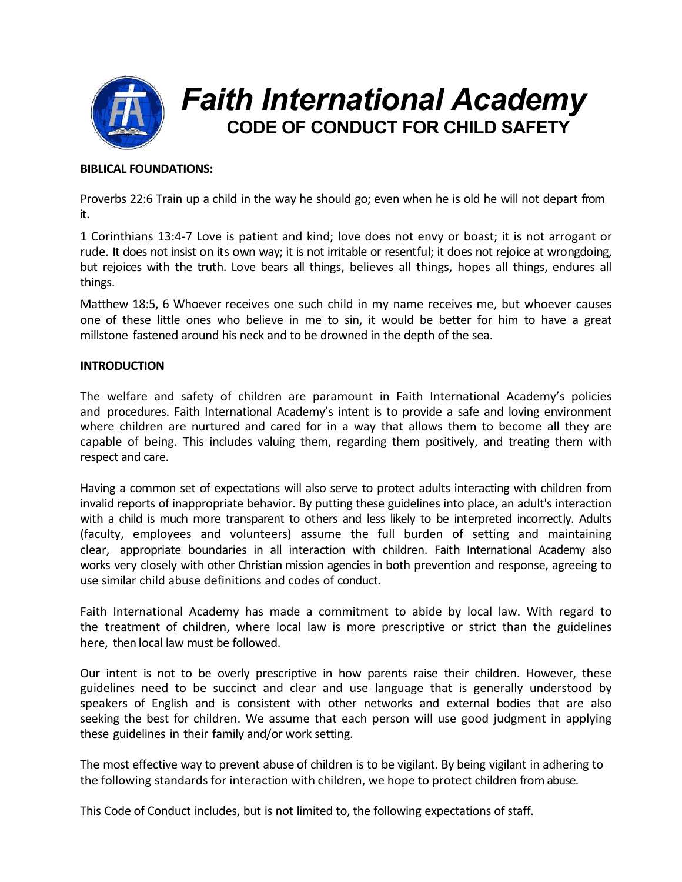

# **BIBLICAL FOUNDATIONS:**

Proverbs 22:6 Train up a child in the way he should go; even when he is old he will not depart from it.

1 Corinthians 13:4-7 Love is patient and kind; love does not envy or boast; it is not arrogant or rude. It does not insist on its own way; it is not irritable or resentful; it does not rejoice at wrongdoing, but rejoices with the truth. Love bears all things, believes all things, hopes all things, endures all things.

Matthew 18:5, 6 Whoever receives one such child in my name receives me, but whoever causes one of these little ones who believe in me to sin, it would be better for him to have a great millstone fastened around his neck and to be drowned in the depth of the sea.

## **INTRODUCTION**

The welfare and safety of children are paramount in Faith International Academy's policies and procedures. Faith International Academy's intent is to provide a safe and loving environment where children are nurtured and cared for in a way that allows them to become all they are capable of being. This includes valuing them, regarding them positively, and treating them with respect and care.

Having a common set of expectations will also serve to protect adults interacting with children from invalid reports of inappropriate behavior. By putting these guidelines into place, an adult's interaction with a child is much more transparent to others and less likely to be interpreted incorrectly. Adults (faculty, employees and volunteers) assume the full burden of setting and maintaining clear, appropriate boundaries in all interaction with children. Faith International Academy also works very closely with other Christian mission agencies in both prevention and response, agreeing to use similar child abuse definitions and codes of conduct.

Faith International Academy has made a commitment to abide by local law. With regard to the treatment of children, where local law is more prescriptive or strict than the guidelines here, then local law must be followed.

Our intent is not to be overly prescriptive in how parents raise their children. However, these guidelines need to be succinct and clear and use language that is generally understood by speakers of English and is consistent with other networks and external bodies that are also seeking the best for children. We assume that each person will use good judgment in applying these guidelines in their family and/or work setting.

The most effective way to prevent abuse of children is to be vigilant. By being vigilant in adhering to the following standards for interaction with children, we hope to protect children from abuse.

This Code of Conduct includes, but is not limited to, the following expectations of staff.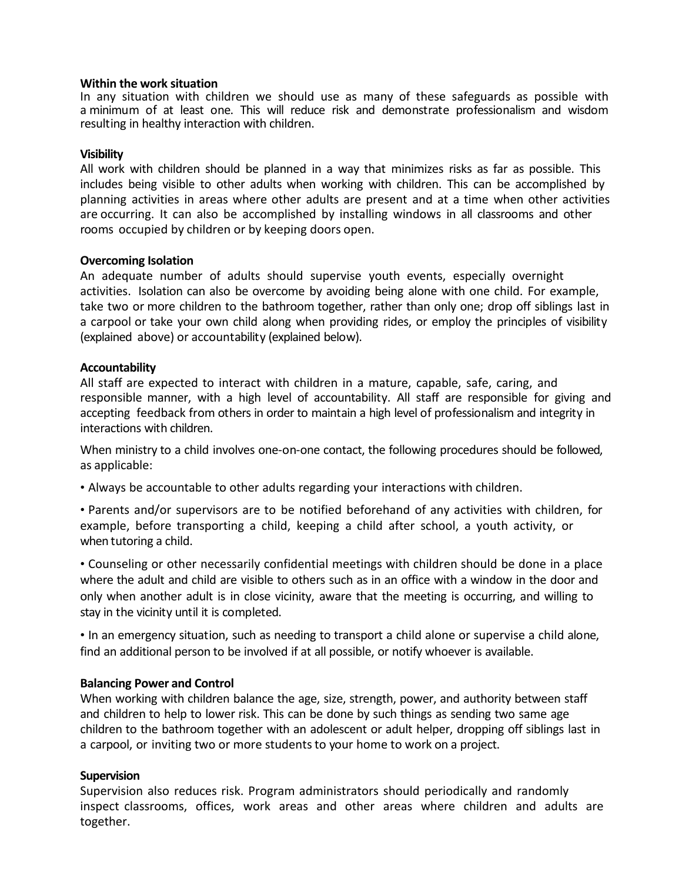### **Within the work situation**

In any situation with children we should use as many of these safeguards as possible with a minimum of at least one. This will reduce risk and demonstrate professionalism and wisdom resulting in healthy interaction with children.

## **Visibility**

All work with children should be planned in a way that minimizes risks as far as possible. This includes being visible to other adults when working with children. This can be accomplished by planning activities in areas where other adults are present and at a time when other activities are occurring. It can also be accomplished by installing windows in all classrooms and other rooms occupied by children or by keeping doors open.

### **Overcoming Isolation**

An adequate number of adults should supervise youth events, especially overnight activities. Isolation can also be overcome by avoiding being alone with one child. For example, take two or more children to the bathroom together, rather than only one; drop off siblings last in a carpool or take your own child along when providing rides, or employ the principles of visibility (explained above) or accountability (explained below).

### **Accountability**

All staff are expected to interact with children in a mature, capable, safe, caring, and responsible manner, with a high level of accountability. All staff are responsible for giving and accepting feedback from others in order to maintain a high level of professionalism and integrity in interactions with children.

When ministry to a child involves one-on-one contact, the following procedures should be followed, as applicable:

• Always be accountable to other adults regarding your interactions with children.

• Parents and/or supervisors are to be notified beforehand of any activities with children, for example, before transporting a child, keeping a child after school, a youth activity, or when tutoring a child.

• Counseling or other necessarily confidential meetings with children should be done in a place where the adult and child are visible to others such as in an office with a window in the door and only when another adult is in close vicinity, aware that the meeting is occurring, and willing to stay in the vicinity until it is completed.

• In an emergency situation, such as needing to transport a child alone or supervise a child alone, find an additional person to be involved if at all possible, or notify whoever is available.

## **Balancing Power and Control**

When working with children balance the age, size, strength, power, and authority between staff and children to help to lower risk. This can be done by such things as sending two same age children to the bathroom together with an adolescent or adult helper, dropping off siblings last in a carpool, or inviting two or more students to your home to work on a project.

## **Supervision**

Supervision also reduces risk. Program administrators should periodically and randomly inspect classrooms, offices, work areas and other areas where children and adults are together.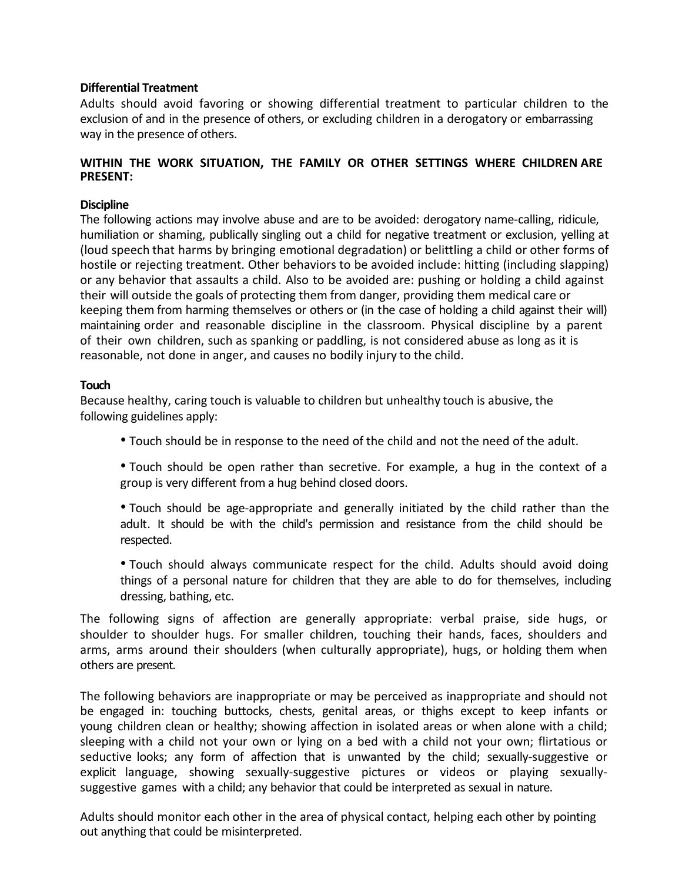## **Differential Treatment**

Adults should avoid favoring or showing differential treatment to particular children to the exclusion of and in the presence of others, or excluding children in a derogatory or embarrassing way in the presence of others.

# **WITHIN THE WORK SITUATION, THE FAMILY OR OTHER SETTINGS WHERE CHILDREN ARE PRESENT:**

# **Discipline**

The following actions may involve abuse and are to be avoided: derogatory name-calling, ridicule, humiliation or shaming, publically singling out a child for negative treatment or exclusion, yelling at (loud speech that harms by bringing emotional degradation) or belittling a child or other forms of hostile or rejecting treatment. Other behaviors to be avoided include: hitting (including slapping) or any behavior that assaults a child. Also to be avoided are: pushing or holding a child against their will outside the goals of protecting them from danger, providing them medical care or keeping them from harming themselves or others or (in the case of holding a child against their will) maintaining order and reasonable discipline in the classroom. Physical discipline by a parent of their own children, such as spanking or paddling, is not considered abuse as long as it is reasonable, not done in anger, and causes no bodily injury to the child.

## **Touch**

Because healthy, caring touch is valuable to children but unhealthy touch is abusive, the following guidelines apply:

• Touch should be in response to the need of the child and not the need of the adult.

• Touch should be open rather than secretive. For example, a hug in the context of a group is very different from a hug behind closed doors.

• Touch should be age-appropriate and generally initiated by the child rather than the adult. It should be with the child's permission and resistance from the child should be respected.

• Touch should always communicate respect for the child. Adults should avoid doing things of a personal nature for children that they are able to do for themselves, including dressing, bathing, etc.

The following signs of affection are generally appropriate: verbal praise, side hugs, or shoulder to shoulder hugs. For smaller children, touching their hands, faces, shoulders and arms, arms around their shoulders (when culturally appropriate), hugs, or holding them when others are present.

The following behaviors are inappropriate or may be perceived as inappropriate and should not be engaged in: touching buttocks, chests, genital areas, or thighs except to keep infants or young children clean or healthy; showing affection in isolated areas or when alone with a child; sleeping with a child not your own or lying on a bed with a child not your own; flirtatious or seductive looks; any form of affection that is unwanted by the child; sexually-suggestive or explicit language, showing sexually-suggestive pictures or videos or playing sexuallysuggestive games with a child; any behavior that could be interpreted as sexual in nature.

Adults should monitor each other in the area of physical contact, helping each other by pointing out anything that could be misinterpreted.